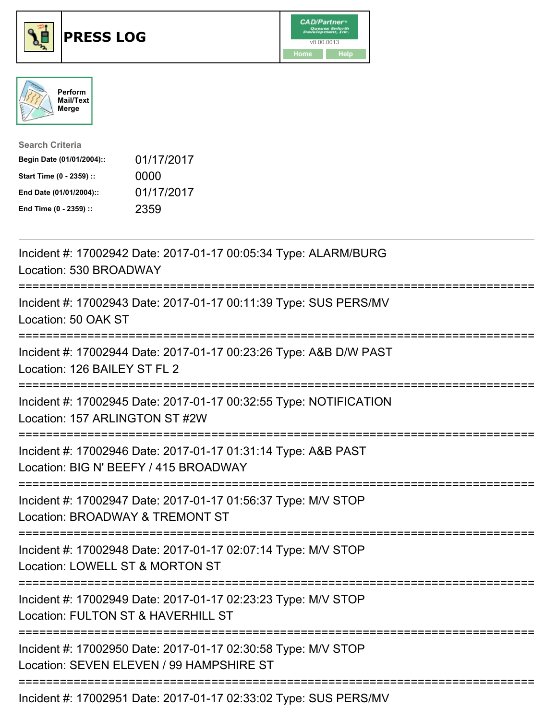





| <b>Search Criteria</b>    |            |
|---------------------------|------------|
| Begin Date (01/01/2004):: | 01/17/2017 |
| Start Time (0 - 2359) ::  | 0000       |
| End Date (01/01/2004)::   | 01/17/2017 |
| End Time (0 - 2359) ::    | 2359       |

| Incident #: 17002942 Date: 2017-01-17 00:05:34 Type: ALARM/BURG<br>Location: 530 BROADWAY                 |
|-----------------------------------------------------------------------------------------------------------|
| Incident #: 17002943 Date: 2017-01-17 00:11:39 Type: SUS PERS/MV<br>Location: 50 OAK ST                   |
| Incident #: 17002944 Date: 2017-01-17 00:23:26 Type: A&B D/W PAST<br>Location: 126 BAILEY ST FL 2         |
| Incident #: 17002945 Date: 2017-01-17 00:32:55 Type: NOTIFICATION<br>Location: 157 ARLINGTON ST #2W       |
| Incident #: 17002946 Date: 2017-01-17 01:31:14 Type: A&B PAST<br>Location: BIG N' BEEFY / 415 BROADWAY    |
| Incident #: 17002947 Date: 2017-01-17 01:56:37 Type: M/V STOP<br>Location: BROADWAY & TREMONT ST          |
| Incident #: 17002948 Date: 2017-01-17 02:07:14 Type: M/V STOP<br>Location: LOWELL ST & MORTON ST          |
| Incident #: 17002949 Date: 2017-01-17 02:23:23 Type: M/V STOP<br>Location: FULTON ST & HAVERHILL ST       |
| Incident #: 17002950 Date: 2017-01-17 02:30:58 Type: M/V STOP<br>Location: SEVEN ELEVEN / 99 HAMPSHIRE ST |
|                                                                                                           |

Incident #: 17002951 Date: 2017-01-17 02:33:02 Type: SUS PERS/MV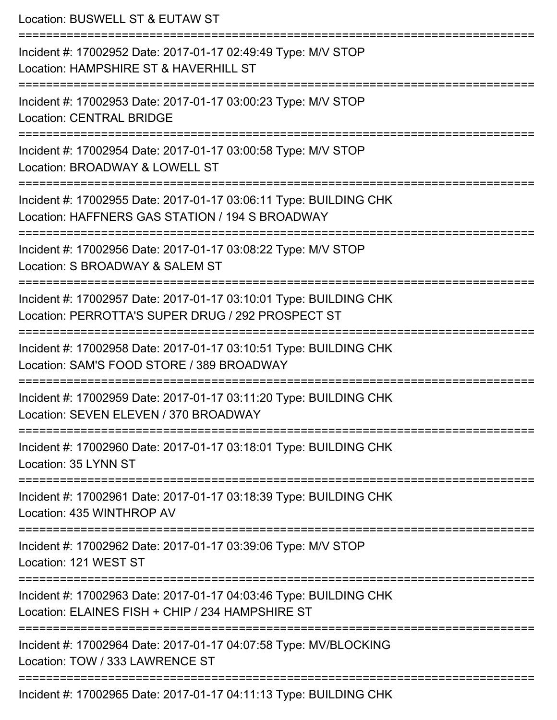| Location: BUSWELL ST & EUTAW ST                                                                                        |
|------------------------------------------------------------------------------------------------------------------------|
| Incident #: 17002952 Date: 2017-01-17 02:49:49 Type: M/V STOP<br>Location: HAMPSHIRE ST & HAVERHILL ST                 |
| Incident #: 17002953 Date: 2017-01-17 03:00:23 Type: M/V STOP<br><b>Location: CENTRAL BRIDGE</b>                       |
| Incident #: 17002954 Date: 2017-01-17 03:00:58 Type: M/V STOP<br>Location: BROADWAY & LOWELL ST                        |
| Incident #: 17002955 Date: 2017-01-17 03:06:11 Type: BUILDING CHK<br>Location: HAFFNERS GAS STATION / 194 S BROADWAY   |
| Incident #: 17002956 Date: 2017-01-17 03:08:22 Type: M/V STOP<br>Location: S BROADWAY & SALEM ST                       |
| Incident #: 17002957 Date: 2017-01-17 03:10:01 Type: BUILDING CHK<br>Location: PERROTTA'S SUPER DRUG / 292 PROSPECT ST |
| Incident #: 17002958 Date: 2017-01-17 03:10:51 Type: BUILDING CHK<br>Location: SAM'S FOOD STORE / 389 BROADWAY         |
| Incident #: 17002959 Date: 2017-01-17 03:11:20 Type: BUILDING CHK<br>Location: SEVEN ELEVEN / 370 BROADWAY             |
| Incident #: 17002960 Date: 2017-01-17 03:18:01 Type: BUILDING CHK<br>Location: 35 LYNN ST                              |
| Incident #: 17002961 Date: 2017-01-17 03:18:39 Type: BUILDING CHK<br>Location: 435 WINTHROP AV                         |
| Incident #: 17002962 Date: 2017-01-17 03:39:06 Type: M/V STOP<br>Location: 121 WEST ST                                 |
| Incident #: 17002963 Date: 2017-01-17 04:03:46 Type: BUILDING CHK<br>Location: ELAINES FISH + CHIP / 234 HAMPSHIRE ST  |
| Incident #: 17002964 Date: 2017-01-17 04:07:58 Type: MV/BLOCKING<br>Location: TOW / 333 LAWRENCE ST                    |
| Incident #: 17002965 Date: 2017-01-17 04:11:13 Type: BUILDING CHK                                                      |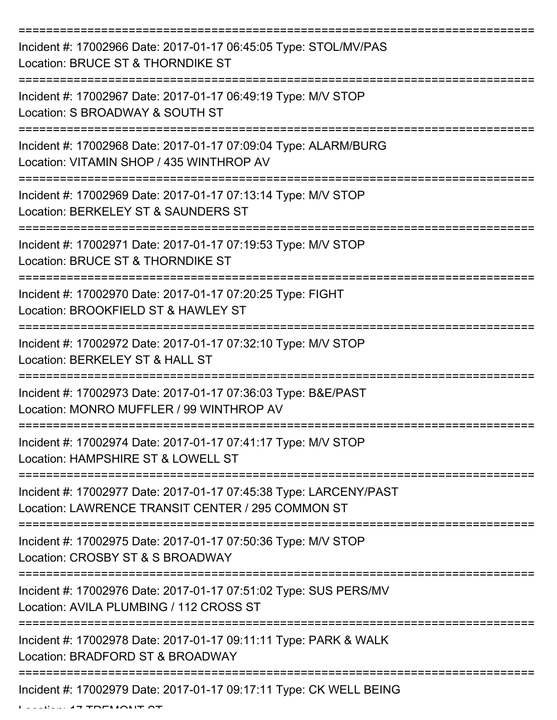| Incident #: 17002966 Date: 2017-01-17 06:45:05 Type: STOL/MV/PAS<br>Location: BRUCE ST & THORNDIKE ST                  |
|------------------------------------------------------------------------------------------------------------------------|
| Incident #: 17002967 Date: 2017-01-17 06:49:19 Type: M/V STOP<br>Location: S BROADWAY & SOUTH ST                       |
| Incident #: 17002968 Date: 2017-01-17 07:09:04 Type: ALARM/BURG<br>Location: VITAMIN SHOP / 435 WINTHROP AV            |
| Incident #: 17002969 Date: 2017-01-17 07:13:14 Type: M/V STOP<br>Location: BERKELEY ST & SAUNDERS ST                   |
| Incident #: 17002971 Date: 2017-01-17 07:19:53 Type: M/V STOP<br>Location: BRUCE ST & THORNDIKE ST                     |
| Incident #: 17002970 Date: 2017-01-17 07:20:25 Type: FIGHT<br>Location: BROOKFIELD ST & HAWLEY ST                      |
| Incident #: 17002972 Date: 2017-01-17 07:32:10 Type: M/V STOP<br>Location: BERKELEY ST & HALL ST                       |
| Incident #: 17002973 Date: 2017-01-17 07:36:03 Type: B&E/PAST<br>Location: MONRO MUFFLER / 99 WINTHROP AV              |
| Incident #: 17002974 Date: 2017-01-17 07:41:17 Type: M/V STOP<br>Location: HAMPSHIRE ST & LOWELL ST                    |
| Incident #: 17002977 Date: 2017-01-17 07:45:38 Type: LARCENY/PAST<br>Location: LAWRENCE TRANSIT CENTER / 295 COMMON ST |
| Incident #: 17002975 Date: 2017-01-17 07:50:36 Type: M/V STOP<br>Location: CROSBY ST & S BROADWAY                      |
| Incident #: 17002976 Date: 2017-01-17 07:51:02 Type: SUS PERS/MV<br>Location: AVILA PLUMBING / 112 CROSS ST            |
| Incident #: 17002978 Date: 2017-01-17 09:11:11 Type: PARK & WALK<br>Location: BRADFORD ST & BROADWAY                   |
| Incident #: 17002979 Date: 2017-01-17 09:17:11 Type: CK WELL BEING                                                     |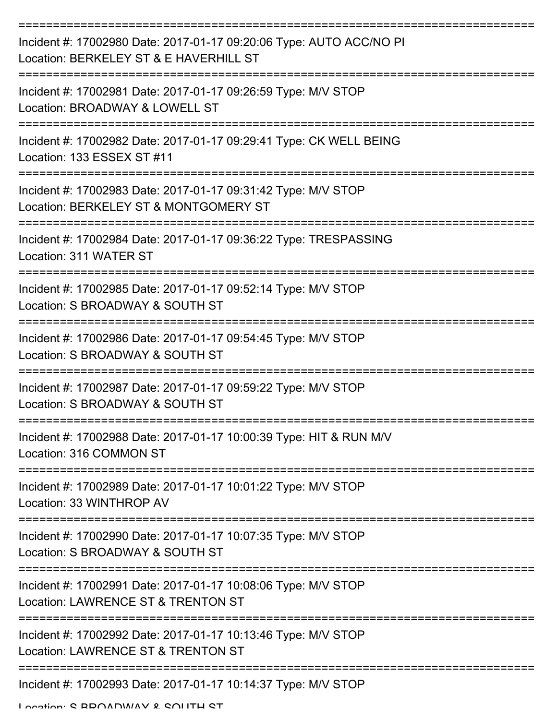| Incident #: 17002980 Date: 2017-01-17 09:20:06 Type: AUTO ACC/NO PI<br>Location: BERKELEY ST & E HAVERHILL ST |
|---------------------------------------------------------------------------------------------------------------|
| Incident #: 17002981 Date: 2017-01-17 09:26:59 Type: M/V STOP<br>Location: BROADWAY & LOWELL ST               |
| Incident #: 17002982 Date: 2017-01-17 09:29:41 Type: CK WELL BEING<br>Location: 133 ESSEX ST #11              |
| Incident #: 17002983 Date: 2017-01-17 09:31:42 Type: M/V STOP<br>Location: BERKELEY ST & MONTGOMERY ST        |
| Incident #: 17002984 Date: 2017-01-17 09:36:22 Type: TRESPASSING<br>Location: 311 WATER ST                    |
| Incident #: 17002985 Date: 2017-01-17 09:52:14 Type: M/V STOP<br>Location: S BROADWAY & SOUTH ST              |
| Incident #: 17002986 Date: 2017-01-17 09:54:45 Type: M/V STOP<br>Location: S BROADWAY & SOUTH ST              |
| Incident #: 17002987 Date: 2017-01-17 09:59:22 Type: M/V STOP<br>Location: S BROADWAY & SOUTH ST              |
| Incident #: 17002988 Date: 2017-01-17 10:00:39 Type: HIT & RUN M/V<br>Location: 316 COMMON ST                 |
| Incident #: 17002989 Date: 2017-01-17 10:01:22 Type: M/V STOP<br>Location: 33 WINTHROP AV                     |
| Incident #: 17002990 Date: 2017-01-17 10:07:35 Type: M/V STOP<br>Location: S BROADWAY & SOUTH ST              |
| Incident #: 17002991 Date: 2017-01-17 10:08:06 Type: M/V STOP<br>Location: LAWRENCE ST & TRENTON ST           |
| Incident #: 17002992 Date: 2017-01-17 10:13:46 Type: M/V STOP<br>Location: LAWRENCE ST & TRENTON ST           |
| Incident #: 17002993 Date: 2017-01-17 10:14:37 Type: M/V STOP<br>I opation: C DDOANMAV & COLITLI CT           |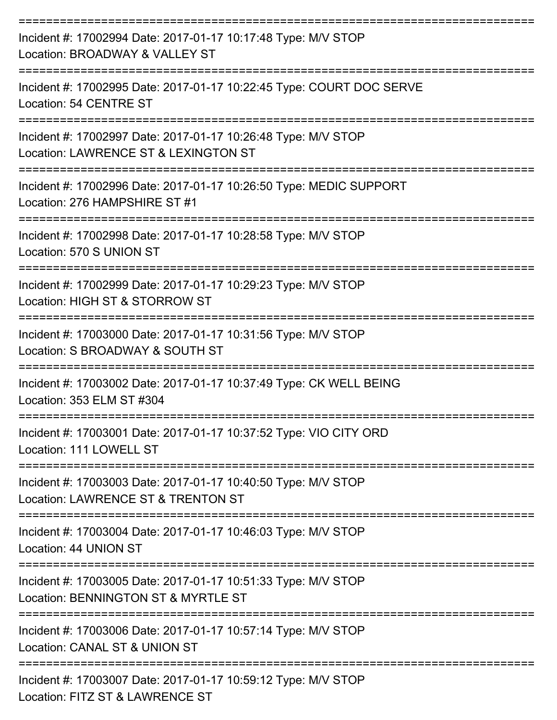| Incident #: 17002994 Date: 2017-01-17 10:17:48 Type: M/V STOP<br>Location: BROADWAY & VALLEY ST                               |
|-------------------------------------------------------------------------------------------------------------------------------|
| Incident #: 17002995 Date: 2017-01-17 10:22:45 Type: COURT DOC SERVE<br>Location: 54 CENTRE ST                                |
| Incident #: 17002997 Date: 2017-01-17 10:26:48 Type: M/V STOP<br>Location: LAWRENCE ST & LEXINGTON ST                         |
| Incident #: 17002996 Date: 2017-01-17 10:26:50 Type: MEDIC SUPPORT<br>Location: 276 HAMPSHIRE ST #1                           |
| Incident #: 17002998 Date: 2017-01-17 10:28:58 Type: M/V STOP<br>Location: 570 S UNION ST                                     |
| Incident #: 17002999 Date: 2017-01-17 10:29:23 Type: M/V STOP<br>Location: HIGH ST & STORROW ST                               |
| Incident #: 17003000 Date: 2017-01-17 10:31:56 Type: M/V STOP<br>Location: S BROADWAY & SOUTH ST                              |
| Incident #: 17003002 Date: 2017-01-17 10:37:49 Type: CK WELL BEING<br>Location: 353 ELM ST #304                               |
| Incident #: 17003001 Date: 2017-01-17 10:37:52 Type: VIO CITY ORD<br>Location: 111 LOWELL ST                                  |
| :=====================<br>Incident #: 17003003 Date: 2017-01-17 10:40:50 Type: M/V STOP<br>Location: LAWRENCE ST & TRENTON ST |
| Incident #: 17003004 Date: 2017-01-17 10:46:03 Type: M/V STOP<br>Location: 44 UNION ST                                        |
| Incident #: 17003005 Date: 2017-01-17 10:51:33 Type: M/V STOP<br>Location: BENNINGTON ST & MYRTLE ST                          |
| Incident #: 17003006 Date: 2017-01-17 10:57:14 Type: M/V STOP<br>Location: CANAL ST & UNION ST                                |
| Incident #: 17003007 Date: 2017-01-17 10:59:12 Type: M/V STOP<br>Location: FITZ ST & LAWRENCE ST                              |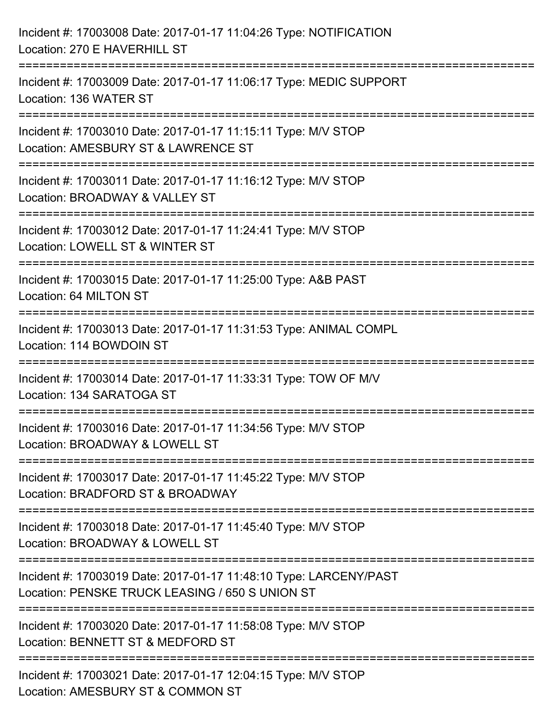| Incident #: 17003008 Date: 2017-01-17 11:04:26 Type: NOTIFICATION<br>Location: 270 E HAVERHILL ST                              |
|--------------------------------------------------------------------------------------------------------------------------------|
| :===========================<br>Incident #: 17003009 Date: 2017-01-17 11:06:17 Type: MEDIC SUPPORT<br>Location: 136 WATER ST   |
| Incident #: 17003010 Date: 2017-01-17 11:15:11 Type: M/V STOP<br>Location: AMESBURY ST & LAWRENCE ST<br>====================== |
| Incident #: 17003011 Date: 2017-01-17 11:16:12 Type: M/V STOP<br>Location: BROADWAY & VALLEY ST<br>:========================   |
| Incident #: 17003012 Date: 2017-01-17 11:24:41 Type: M/V STOP<br>Location: LOWELL ST & WINTER ST                               |
| Incident #: 17003015 Date: 2017-01-17 11:25:00 Type: A&B PAST<br>Location: 64 MILTON ST                                        |
| Incident #: 17003013 Date: 2017-01-17 11:31:53 Type: ANIMAL COMPL<br>Location: 114 BOWDOIN ST                                  |
| Incident #: 17003014 Date: 2017-01-17 11:33:31 Type: TOW OF M/V<br>Location: 134 SARATOGA ST                                   |
| Incident #: 17003016 Date: 2017-01-17 11:34:56 Type: M/V STOP<br>Location: BROADWAY & LOWELL ST                                |
| Incident #: 17003017 Date: 2017-01-17 11:45:22 Type: M/V STOP<br>Location: BRADFORD ST & BROADWAY                              |
| Incident #: 17003018 Date: 2017-01-17 11:45:40 Type: M/V STOP<br>Location: BROADWAY & LOWELL ST                                |
| Incident #: 17003019 Date: 2017-01-17 11:48:10 Type: LARCENY/PAST<br>Location: PENSKE TRUCK LEASING / 650 S UNION ST           |
| Incident #: 17003020 Date: 2017-01-17 11:58:08 Type: M/V STOP<br>Location: BENNETT ST & MEDFORD ST                             |
| Incident #: 17003021 Date: 2017-01-17 12:04:15 Type: M/V STOP<br>Location: AMESBURY ST & COMMON ST                             |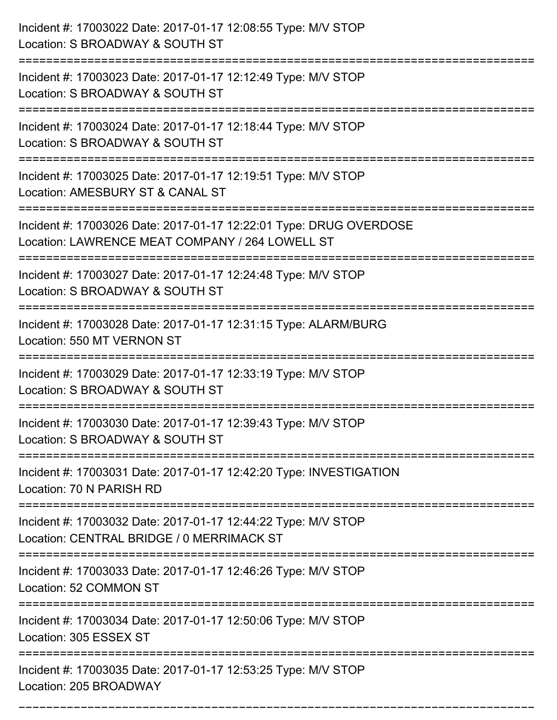| Incident #: 17003022 Date: 2017-01-17 12:08:55 Type: M/V STOP<br>Location: S BROADWAY & SOUTH ST                                                         |
|----------------------------------------------------------------------------------------------------------------------------------------------------------|
| Incident #: 17003023 Date: 2017-01-17 12:12:49 Type: M/V STOP<br>Location: S BROADWAY & SOUTH ST                                                         |
| Incident #: 17003024 Date: 2017-01-17 12:18:44 Type: M/V STOP<br>Location: S BROADWAY & SOUTH ST                                                         |
| Incident #: 17003025 Date: 2017-01-17 12:19:51 Type: M/V STOP<br>Location: AMESBURY ST & CANAL ST                                                        |
| Incident #: 17003026 Date: 2017-01-17 12:22:01 Type: DRUG OVERDOSE<br>Location: LAWRENCE MEAT COMPANY / 264 LOWELL ST<br>------------------------------- |
| Incident #: 17003027 Date: 2017-01-17 12:24:48 Type: M/V STOP<br>Location: S BROADWAY & SOUTH ST                                                         |
| Incident #: 17003028 Date: 2017-01-17 12:31:15 Type: ALARM/BURG<br>Location: 550 MT VERNON ST                                                            |
| Incident #: 17003029 Date: 2017-01-17 12:33:19 Type: M/V STOP<br>Location: S BROADWAY & SOUTH ST                                                         |
| Incident #: 17003030 Date: 2017-01-17 12:39:43 Type: M/V STOP<br>Location: S BROADWAY & SOUTH ST                                                         |
| Incident #: 17003031 Date: 2017-01-17 12:42:20 Type: INVESTIGATION<br>Location: 70 N PARISH RD                                                           |
| Incident #: 17003032 Date: 2017-01-17 12:44:22 Type: M/V STOP<br>Location: CENTRAL BRIDGE / 0 MERRIMACK ST                                               |
| Incident #: 17003033 Date: 2017-01-17 12:46:26 Type: M/V STOP<br>Location: 52 COMMON ST<br>=======================                                       |
| Incident #: 17003034 Date: 2017-01-17 12:50:06 Type: M/V STOP<br>Location: 305 ESSEX ST<br>--------------------------                                    |
| Incident #: 17003035 Date: 2017-01-17 12:53:25 Type: M/V STOP<br>Location: 205 BROADWAY                                                                  |

===========================================================================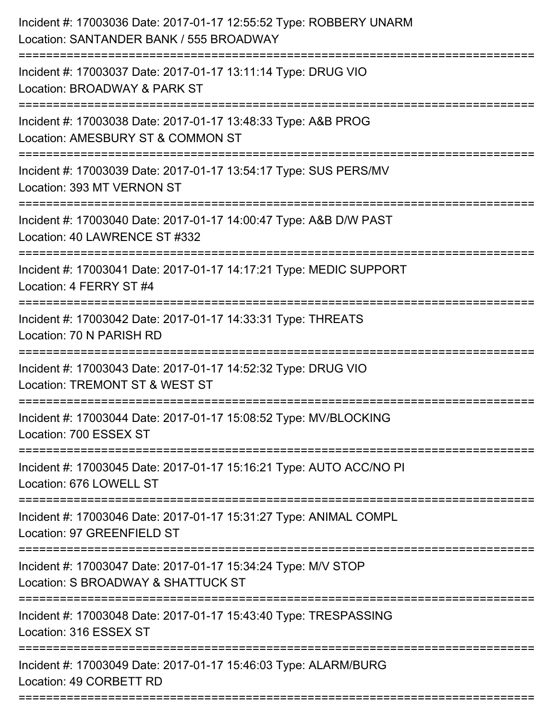| Incident #: 17003036 Date: 2017-01-17 12:55:52 Type: ROBBERY UNARM<br>Location: SANTANDER BANK / 555 BROADWAY |
|---------------------------------------------------------------------------------------------------------------|
| Incident #: 17003037 Date: 2017-01-17 13:11:14 Type: DRUG VIO<br>Location: BROADWAY & PARK ST                 |
| Incident #: 17003038 Date: 2017-01-17 13:48:33 Type: A&B PROG<br>Location: AMESBURY ST & COMMON ST            |
| Incident #: 17003039 Date: 2017-01-17 13:54:17 Type: SUS PERS/MV<br>Location: 393 MT VERNON ST                |
| Incident #: 17003040 Date: 2017-01-17 14:00:47 Type: A&B D/W PAST<br>Location: 40 LAWRENCE ST #332            |
| Incident #: 17003041 Date: 2017-01-17 14:17:21 Type: MEDIC SUPPORT<br>Location: 4 FERRY ST #4                 |
| Incident #: 17003042 Date: 2017-01-17 14:33:31 Type: THREATS<br>Location: 70 N PARISH RD                      |
| Incident #: 17003043 Date: 2017-01-17 14:52:32 Type: DRUG VIO<br>Location: TREMONT ST & WEST ST               |
| Incident #: 17003044 Date: 2017-01-17 15:08:52 Type: MV/BLOCKING<br>Location: 700 ESSEX ST                    |
| Incident #: 17003045 Date: 2017-01-17 15:16:21 Type: AUTO ACC/NO PI<br>Location: 676 LOWELL ST                |
| Incident #: 17003046 Date: 2017-01-17 15:31:27 Type: ANIMAL COMPL<br>Location: 97 GREENFIELD ST               |
| Incident #: 17003047 Date: 2017-01-17 15:34:24 Type: M/V STOP<br>Location: S BROADWAY & SHATTUCK ST           |
| Incident #: 17003048 Date: 2017-01-17 15:43:40 Type: TRESPASSING<br>Location: 316 ESSEX ST                    |
| Incident #: 17003049 Date: 2017-01-17 15:46:03 Type: ALARM/BURG<br>Location: 49 CORBETT RD                    |
|                                                                                                               |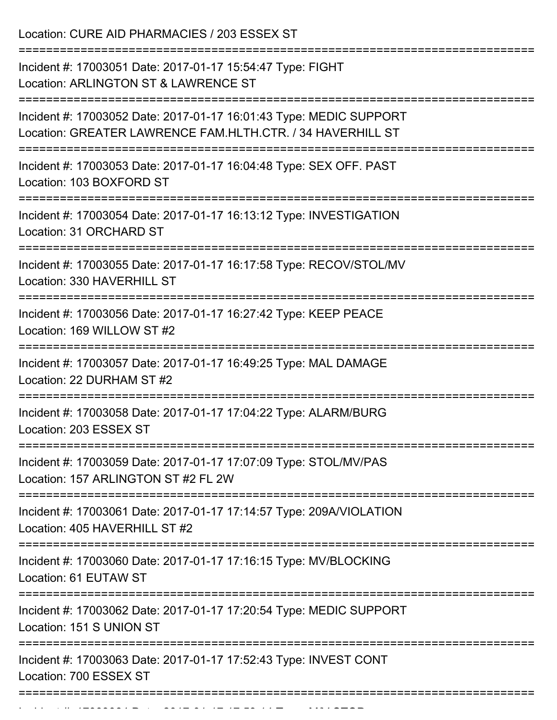Location: CURE AID PHARMACIES / 203 ESSEX ST =========================================================================== Incident #: 17003051 Date: 2017-01-17 15:54:47 Type: FIGHT Location: ARLINGTON ST & LAWRENCE ST =========================================================================== Incident #: 17003052 Date: 2017-01-17 16:01:43 Type: MEDIC SUPPORT Location: GREATER LAWRENCE FAM.HLTH.CTR. / 34 HAVERHILL ST =========================================================================== Incident #: 17003053 Date: 2017-01-17 16:04:48 Type: SEX OFF. PAST Location: 103 BOXFORD ST =========================================================================== Incident #: 17003054 Date: 2017-01-17 16:13:12 Type: INVESTIGATION Location: 31 ORCHARD ST =========================================================================== Incident #: 17003055 Date: 2017-01-17 16:17:58 Type: RECOV/STOL/MV Location: 330 HAVERHILL ST =========================================================================== Incident #: 17003056 Date: 2017-01-17 16:27:42 Type: KEEP PEACE Location: 169 WILLOW ST #2 =========================================================================== Incident #: 17003057 Date: 2017-01-17 16:49:25 Type: MAL DAMAGE Location: 22 DURHAM ST #2 =========================================================================== Incident #: 17003058 Date: 2017-01-17 17:04:22 Type: ALARM/BURG Location: 203 ESSEX ST =========================================================================== Incident #: 17003059 Date: 2017-01-17 17:07:09 Type: STOL/MV/PAS Location: 157 ARLINGTON ST #2 FL 2W =========================================================================== Incident #: 17003061 Date: 2017-01-17 17:14:57 Type: 209A/VIOLATION Location: 405 HAVERHILL ST #2 =========================================================================== Incident #: 17003060 Date: 2017-01-17 17:16:15 Type: MV/BLOCKING Location: 61 EUTAW ST =========================================================================== Incident #: 17003062 Date: 2017-01-17 17:20:54 Type: MEDIC SUPPORT Location: 151 S UNION ST =========================================================================== Incident #: 17003063 Date: 2017-01-17 17:52:43 Type: INVEST CONT Location: 700 ESSEX ST ===========================================================================

Incident #: 17003064 Date: 2017 01 17003064 Date: 2017 01 17:53:14 Type: M/V STOP: 2017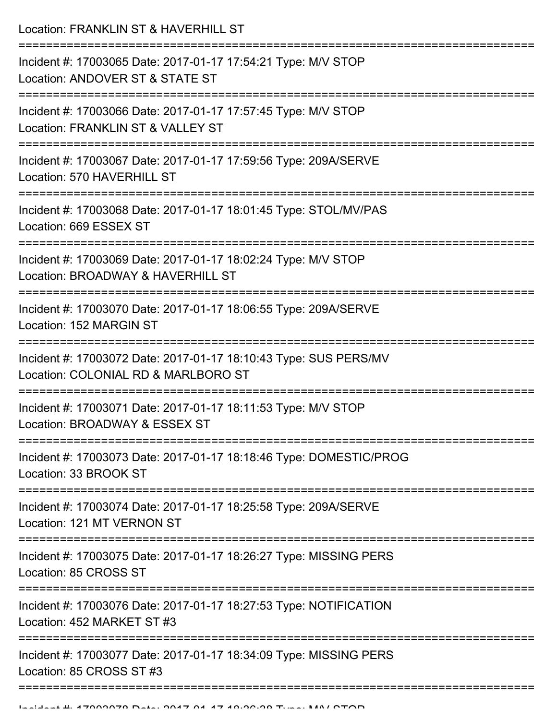Location: FRANKLIN ST & HAVERHILL ST

| Incident #: 17003065 Date: 2017-01-17 17:54:21 Type: M/V STOP<br>Location: ANDOVER ST & STATE ST              |
|---------------------------------------------------------------------------------------------------------------|
| Incident #: 17003066 Date: 2017-01-17 17:57:45 Type: M/V STOP<br>Location: FRANKLIN ST & VALLEY ST            |
| Incident #: 17003067 Date: 2017-01-17 17:59:56 Type: 209A/SERVE<br>Location: 570 HAVERHILL ST                 |
| Incident #: 17003068 Date: 2017-01-17 18:01:45 Type: STOL/MV/PAS<br>Location: 669 ESSEX ST                    |
| Incident #: 17003069 Date: 2017-01-17 18:02:24 Type: M/V STOP<br>Location: BROADWAY & HAVERHILL ST            |
| Incident #: 17003070 Date: 2017-01-17 18:06:55 Type: 209A/SERVE<br>Location: 152 MARGIN ST<br>--------------- |
| Incident #: 17003072 Date: 2017-01-17 18:10:43 Type: SUS PERS/MV<br>Location: COLONIAL RD & MARLBORO ST       |
| Incident #: 17003071 Date: 2017-01-17 18:11:53 Type: M/V STOP<br>Location: BROADWAY & ESSEX ST                |
| Incident #: 17003073 Date: 2017-01-17 18:18:46 Type: DOMESTIC/PROG<br>Location: 33 BROOK ST                   |
| Incident #: 17003074 Date: 2017-01-17 18:25:58 Type: 209A/SERVE<br>Location: 121 MT VERNON ST                 |
| Incident #: 17003075 Date: 2017-01-17 18:26:27 Type: MISSING PERS<br>Location: 85 CROSS ST                    |
| Incident #: 17003076 Date: 2017-01-17 18:27:53 Type: NOTIFICATION<br>Location: 452 MARKET ST #3               |
| Incident #: 17003077 Date: 2017-01-17 18:34:09 Type: MISSING PERS<br>Location: 85 CROSS ST #3                 |
|                                                                                                               |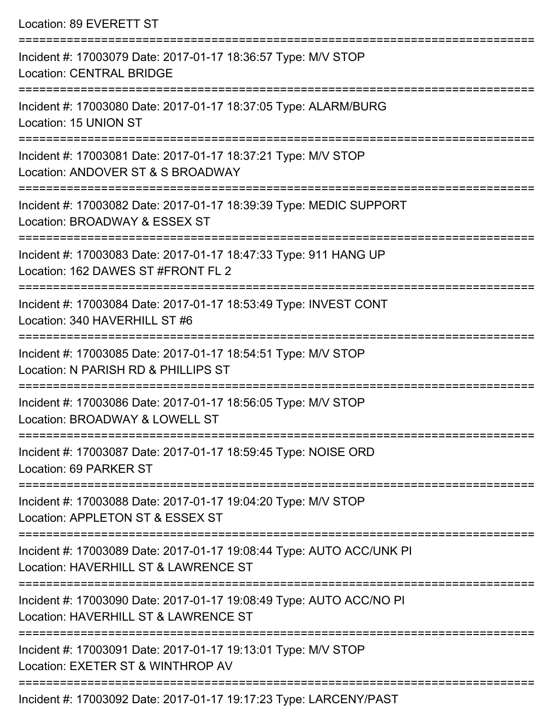| Location: 89 EVERETT ST |  |
|-------------------------|--|
|-------------------------|--|

| Incident #: 17003079 Date: 2017-01-17 18:36:57 Type: M/V STOP<br><b>Location: CENTRAL BRIDGE</b>             |
|--------------------------------------------------------------------------------------------------------------|
| Incident #: 17003080 Date: 2017-01-17 18:37:05 Type: ALARM/BURG<br>Location: 15 UNION ST                     |
| Incident #: 17003081 Date: 2017-01-17 18:37:21 Type: M/V STOP<br>Location: ANDOVER ST & S BROADWAY           |
| Incident #: 17003082 Date: 2017-01-17 18:39:39 Type: MEDIC SUPPORT<br>Location: BROADWAY & ESSEX ST          |
| Incident #: 17003083 Date: 2017-01-17 18:47:33 Type: 911 HANG UP<br>Location: 162 DAWES ST #FRONT FL 2       |
| Incident #: 17003084 Date: 2017-01-17 18:53:49 Type: INVEST CONT<br>Location: 340 HAVERHILL ST #6            |
| Incident #: 17003085 Date: 2017-01-17 18:54:51 Type: M/V STOP<br>Location: N PARISH RD & PHILLIPS ST         |
| Incident #: 17003086 Date: 2017-01-17 18:56:05 Type: M/V STOP<br>Location: BROADWAY & LOWELL ST              |
| Incident #: 17003087 Date: 2017-01-17 18:59:45 Type: NOISE ORD<br>Location: 69 PARKER ST                     |
| Incident #: 17003088 Date: 2017-01-17 19:04:20 Type: M/V STOP<br>Location: APPLETON ST & ESSEX ST            |
| Incident #: 17003089 Date: 2017-01-17 19:08:44 Type: AUTO ACC/UNK PI<br>Location: HAVERHILL ST & LAWRENCE ST |
| Incident #: 17003090 Date: 2017-01-17 19:08:49 Type: AUTO ACC/NO PI<br>Location: HAVERHILL ST & LAWRENCE ST  |
| Incident #: 17003091 Date: 2017-01-17 19:13:01 Type: M/V STOP<br>Location: EXETER ST & WINTHROP AV           |
| Incident #: 17003092 Date: 2017-01-17 19:17:23 Type: LARCENY/PAST                                            |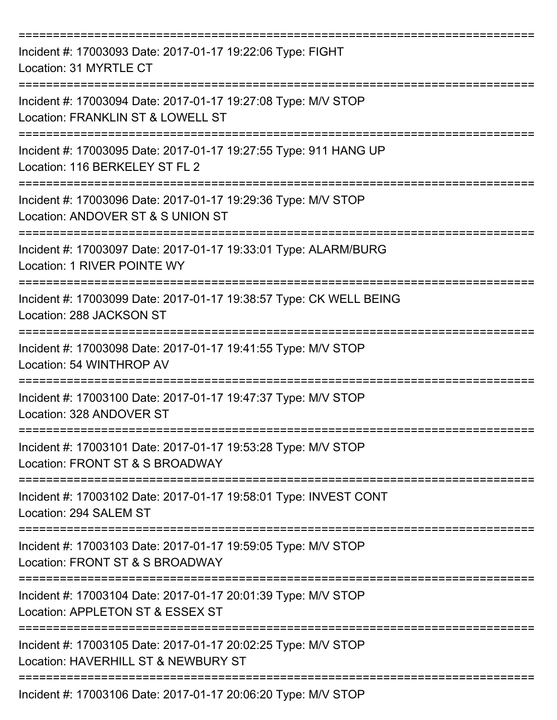| Incident #: 17003093 Date: 2017-01-17 19:22:06 Type: FIGHT<br>Location: 31 MYRTLE CT                                                    |
|-----------------------------------------------------------------------------------------------------------------------------------------|
| Incident #: 17003094 Date: 2017-01-17 19:27:08 Type: M/V STOP<br>Location: FRANKLIN ST & LOWELL ST                                      |
| Incident #: 17003095 Date: 2017-01-17 19:27:55 Type: 911 HANG UP<br>Location: 116 BERKELEY ST FL 2                                      |
| Incident #: 17003096 Date: 2017-01-17 19:29:36 Type: M/V STOP<br>Location: ANDOVER ST & S UNION ST                                      |
| Incident #: 17003097 Date: 2017-01-17 19:33:01 Type: ALARM/BURG<br>Location: 1 RIVER POINTE WY                                          |
| =====================================<br>Incident #: 17003099 Date: 2017-01-17 19:38:57 Type: CK WELL BEING<br>Location: 288 JACKSON ST |
| Incident #: 17003098 Date: 2017-01-17 19:41:55 Type: M/V STOP<br>Location: 54 WINTHROP AV                                               |
| ===========<br>Incident #: 17003100 Date: 2017-01-17 19:47:37 Type: M/V STOP<br>Location: 328 ANDOVER ST                                |
| Incident #: 17003101 Date: 2017-01-17 19:53:28 Type: M/V STOP<br>Location: FRONT ST & S BROADWAY                                        |
| Incident #: 17003102 Date: 2017-01-17 19:58:01 Type: INVEST CONT<br>Location: 294 SALEM ST                                              |
| Incident #: 17003103 Date: 2017-01-17 19:59:05 Type: M/V STOP<br>Location: FRONT ST & S BROADWAY                                        |
| Incident #: 17003104 Date: 2017-01-17 20:01:39 Type: M/V STOP<br>Location: APPLETON ST & ESSEX ST                                       |
| Incident #: 17003105 Date: 2017-01-17 20:02:25 Type: M/V STOP<br>Location: HAVERHILL ST & NEWBURY ST                                    |
| Incident #: 17003106 Date: 2017-01-17 20:06:20 Type: M/V STOP                                                                           |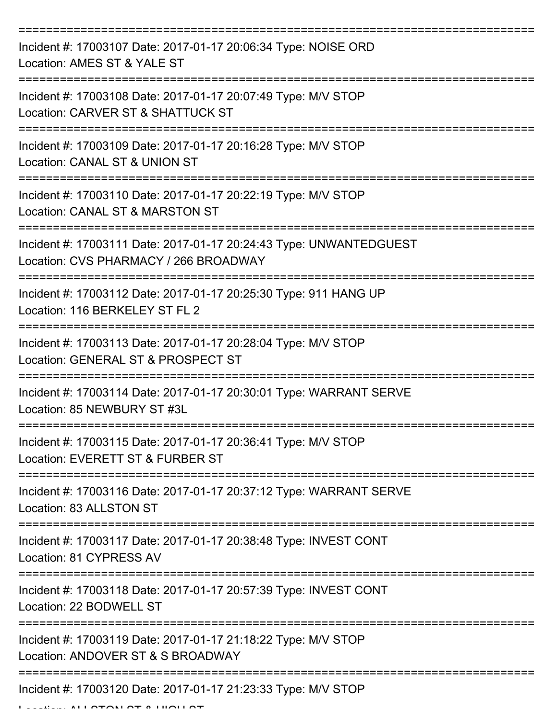| Incident #: 17003107 Date: 2017-01-17 20:06:34 Type: NOISE ORD<br>Location: AMES ST & YALE ST               |
|-------------------------------------------------------------------------------------------------------------|
| Incident #: 17003108 Date: 2017-01-17 20:07:49 Type: M/V STOP<br>Location: CARVER ST & SHATTUCK ST          |
| Incident #: 17003109 Date: 2017-01-17 20:16:28 Type: M/V STOP<br>Location: CANAL ST & UNION ST              |
| Incident #: 17003110 Date: 2017-01-17 20:22:19 Type: M/V STOP<br>Location: CANAL ST & MARSTON ST            |
| Incident #: 17003111 Date: 2017-01-17 20:24:43 Type: UNWANTEDGUEST<br>Location: CVS PHARMACY / 266 BROADWAY |
| Incident #: 17003112 Date: 2017-01-17 20:25:30 Type: 911 HANG UP<br>Location: 116 BERKELEY ST FL 2          |
| Incident #: 17003113 Date: 2017-01-17 20:28:04 Type: M/V STOP<br>Location: GENERAL ST & PROSPECT ST         |
| Incident #: 17003114 Date: 2017-01-17 20:30:01 Type: WARRANT SERVE<br>Location: 85 NEWBURY ST #3L           |
| Incident #: 17003115 Date: 2017-01-17 20:36:41 Type: M/V STOP<br>Location: EVERETT ST & FURBER ST           |
| Incident #: 17003116 Date: 2017-01-17 20:37:12 Type: WARRANT SERVE<br>Location: 83 ALLSTON ST               |
| Incident #: 17003117 Date: 2017-01-17 20:38:48 Type: INVEST CONT<br>Location: 81 CYPRESS AV                 |
| Incident #: 17003118 Date: 2017-01-17 20:57:39 Type: INVEST CONT<br>Location: 22 BODWELL ST                 |
| Incident #: 17003119 Date: 2017-01-17 21:18:22 Type: M/V STOP<br>Location: ANDOVER ST & S BROADWAY          |
| Incident #: 17003120 Date: 2017-01-17 21:23:33 Type: M/V STOP                                               |